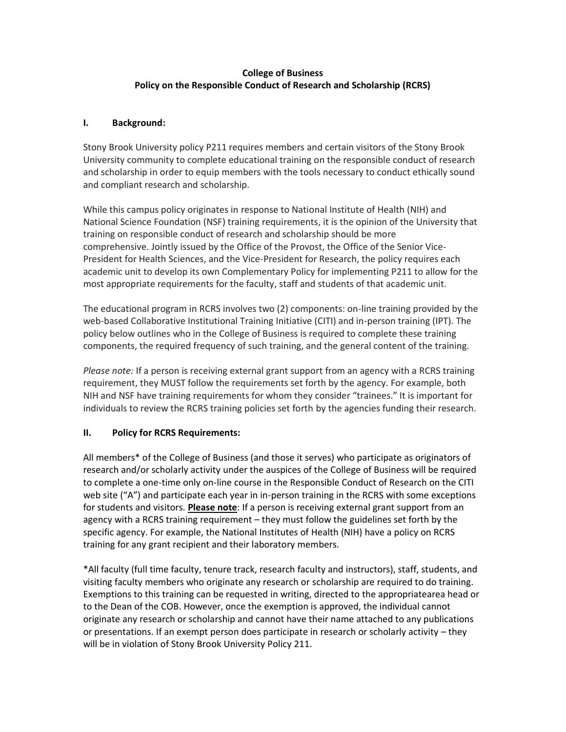# **College of Business Policy on the Responsible Conduct of Research and Scholarship (RCRS)**

### **I. Background:**

Stony Brook University policy P211 requires members and certain visitors of the Stony Brook University community to complete educational training on the responsible conduct of research and scholarship in order to equip members with the tools necessary to conduct ethically sound and compliant research and scholarship.

While this campus policy originates in response to National Institute of Health (NIH) and National Science Foundation (NSF) training requirements, it is the opinion of the University that training on responsible conduct of research and scholarship should be more comprehensive. Jointly issued by the Office of the Provost, the Office of the Senior Vice-President for Health Sciences, and the Vice-President for Research, the policy requires each academic unit to develop its own Complementary Policy for implementing P211 to allow for the most appropriate requirements for the faculty, staff and students of that academic unit.

The educational program in RCRS involves two (2) components: on-line training provided by the web-based Collaborative Institutional Training Initiative (CITI) and in-person training (IPT). The policy below outlines who in the College of Business is required to complete these training components, the required frequency of such training, and the general content of the training.

*Please note:* If a person is receiving external grant support from an agency with a RCRS training requirement, they MUST follow the requirements set forth by the agency. For example, both NIH and NSF have training requirements for whom they consider "trainees." It is important for individuals to review the RCRS training policies set forth by the agencies funding their research.

# **II. Policy for RCRS Requirements:**

All members\* of the College of Business (and those it serves) who participate as originators of research and/or scholarly activity under the auspices of the College of Business will be required to complete a one-time only on-line course in the Responsible Conduct of Research on the CITI web site ("A") and participate each year in in-person training in the RCRS with some exceptions for students and visitors. **Please note**: If a person is receiving external grant support from an agency with a RCRS training requirement – they must follow the guidelines set forth by the specific agency. For example, the National Institutes of Health (NIH) have a policy on RCRS training for any grant recipient and their laboratory members.

\*All faculty (full time faculty, tenure track, research faculty and instructors), staff, students, and visiting faculty members who originate any research or scholarship are required to do training. Exemptions to this training can be requested in writing, directed to the appropriatearea head or to the Dean of the COB. However, once the exemption is approved, the individual cannot originate any research or scholarship and cannot have their name attached to any publications or presentations. If an exempt person does participate in research or scholarly activity – they will be in violation of Stony Brook University Policy 211.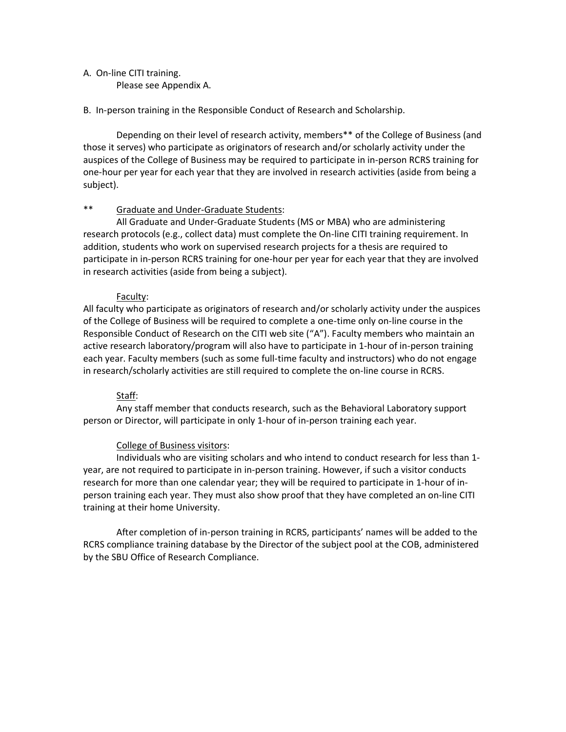#### A. On-line CITI training.

Please see Appendix A.

#### B. In-person training in the Responsible Conduct of Research and Scholarship.

Depending on their level of research activity, members\*\* of the College of Business (and those it serves) who participate as originators of research and/or scholarly activity under the auspices of the College of Business may be required to participate in in-person RCRS training for one-hour per year for each year that they are involved in research activities (aside from being a subject).

### \*\* Graduate and Under-Graduate Students:

All Graduate and Under-Graduate Students (MS or MBA) who are administering research protocols (e.g., collect data) must complete the On-line CITI training requirement. In addition, students who work on supervised research projects for a thesis are required to participate in in-person RCRS training for one-hour per year for each year that they are involved in research activities (aside from being a subject).

### Faculty:

All faculty who participate as originators of research and/or scholarly activity under the auspices of the College of Business will be required to complete a one-time only on-line course in the Responsible Conduct of Research on the CITI web site ("A"). Faculty members who maintain an active research laboratory/program will also have to participate in 1-hour of in-person training each year. Faculty members (such as some full-time faculty and instructors) who do not engage in research/scholarly activities are still required to complete the on-line course in RCRS.

# Staff:

Any staff member that conducts research, such as the Behavioral Laboratory support person or Director, will participate in only 1-hour of in-person training each year.

### College of Business visitors:

Individuals who are visiting scholars and who intend to conduct research for less than 1 year, are not required to participate in in-person training. However, if such a visitor conducts research for more than one calendar year; they will be required to participate in 1-hour of inperson training each year. They must also show proof that they have completed an on-line CITI training at their home University.

After completion of in-person training in RCRS, participants' names will be added to the RCRS compliance training database by the Director of the subject pool at the COB, administered by the SBU Office of Research Compliance.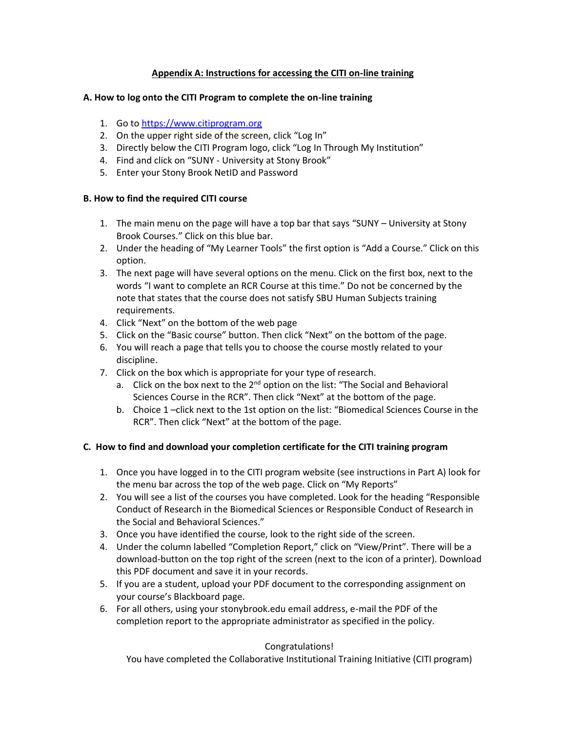# **Appendix A: Instructions for accessing the CITI on-line training**

### **A. How to log onto the CITI Program to complete the on-line training**

- 1. Go to [https://www.citiprogram.org](https://www.citiprogram.org/)
- 2. On the upper right side of the screen, click "Log In"
- 3. Directly below the CITI Program logo, click "Log In Through My Institution"
- 4. Find and click on "SUNY University at Stony Brook"
- 5. Enter your Stony Brook NetID and Password

### **B. How to find the required CITI course**

- 1. The main menu on the page will have a top bar that says "SUNY University at Stony Brook Courses." Click on this blue bar.
- 2. Under the heading of "My Learner Tools" the first option is "Add a Course." Click on this option.
- 3. The next page will have several options on the menu. Click on the first box, next to the words "I want to complete an RCR Course at this time." Do not be concerned by the note that states that the course does not satisfy SBU Human Subjects training requirements.
- 4. Click "Next" on the bottom of the web page
- 5. Click on the "Basic course" button. Then click "Next" on the bottom of the page.
- 6. You will reach a page that tells you to choose the course mostly related to your discipline.
- 7. Click on the box which is appropriate for your type of research.
	- a. Click on the box next to the 2<sup>nd</sup> option on the list: "The Social and Behavioral Sciences Course in the RCR". Then click "Next" at the bottom of the page.
	- b. Choice 1 –click next to the 1st option on the list: "Biomedical Sciences Course in the RCR". Then click "Next" at the bottom of the page.

### **C. How to find and download your completion certificate for the CITI training program**

- 1. Once you have logged in to the CITI program website (see instructions in Part A) look for the menu bar across the top of the web page. Click on "My Reports"
- 2. You will see a list of the courses you have completed. Look for the heading "Responsible Conduct of Research in the Biomedical Sciences or Responsible Conduct of Research in the Social and Behavioral Sciences."
- 3. Once you have identified the course, look to the right side of the screen.
- 4. Under the column labelled "Completion Report," click on "View/Print". There will be a download-button on the top right of the screen (next to the icon of a printer). Download this PDF document and save it in your records.
- 5. If you are a student, upload your PDF document to the corresponding assignment on your course's Blackboard page.
- 6. For all others, using your stonybrook.edu email address, e-mail the PDF of the completion report to the appropriate administrator as specified in the policy.

### Congratulations!

You have completed the Collaborative Institutional Training Initiative (CITI program)